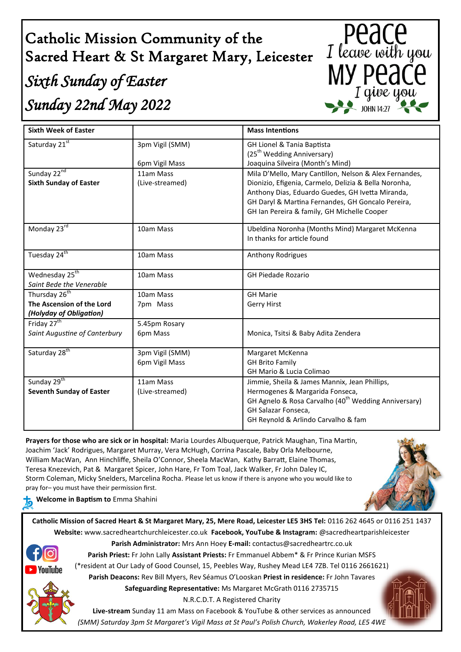# Catholic Mission Community of the Sacred Heart & St Margaret Mary, Leicester

# *Sixth Sunday of Easter Sunday 22nd May 2022*



**Prayers for those who are sick or in hospital:** Maria Lourdes Albuquerque, Patrick Maughan, Tina Martin, Joachim 'Jack' Rodrigues, Margaret Murray, Vera McHugh, Corrina Pascale, Baby Orla Melbourne, William MacWan, Ann Hinchliffe, Sheila O'Connor, Sheela MacWan, Kathy Barratt, Elaine Thomas, Teresa Knezevich, Pat & Margaret Spicer, John Hare, Fr Tom Toal, Jack Walker, Fr John Daley IC, Storm Coleman, Micky Snelders, Marcelina Rocha. Please let us know if there is anyone who you would like to pray for– you must have their permission first.



I leave with you

I give you

MY PA<sub>2</sub>

**Welcome in Baptism to** Emma Shahini

**Catholic Mission of Sacred Heart & St Margaret Mary, 25, Mere Road, Leicester LE5 3HS Tel:** 0116 262 4645 or 0116 251 1437 **Website:** www.sacredheartchurchleicester.co.uk **Facebook, YouTube & Instagram:** @sacredheartparishleicester



**Parish Administrator:** Mrs Ann Hoey **E-mail:** contactus@sacredheartrc.co.uk **Parish Priest:** Fr John Lally **Assistant Priests:** Fr Emmanuel Abbem\* & Fr Prince Kurian MSFS (\*resident at Our Lady of Good Counsel, 15, Peebles Way, Rushey Mead LE4 7ZB. Tel 0116 2661621)

**Parish Deacons:** Rev Bill Myers, Rev Séamus O'Looskan **Priest in residence:** Fr John Tavares **Safeguarding Representative:** Ms Margaret McGrath 0116 2735715

N.R.C.D.T. A Registered Charity

**Live-stream** Sunday 11 am Mass on Facebook & YouTube & other services as announced *(SMM) Saturday 3pm St Margaret's Vigil Mass at St Paul's Polish Church, Wakerley Road, LE5 4WE*